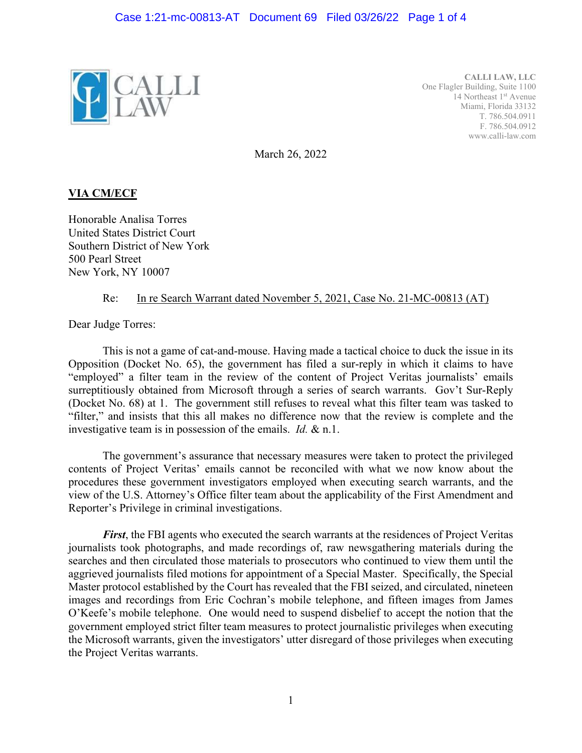

**CALLI LAW, LLC**  One Flagler Building, Suite 1100 14 Northeast 1<sup>st</sup> Avenue Miami, Florida 33132 T. 786.504.0911 F. 786.504.0912 www.calli-law.com

March 26, 2022

## **VIA CM/ECF**

Honorable Analisa Torres United States District Court Southern District of New York 500 Pearl Street New York, NY 10007

## Re: In re Search Warrant dated November 5, 2021, Case No. 21-MC-00813 (AT)

Dear Judge Torres:

 This is not a game of cat-and-mouse. Having made a tactical choice to duck the issue in its Opposition (Docket No. 65), the government has filed a sur-reply in which it claims to have "employed" a filter team in the review of the content of Project Veritas journalists' emails surreptitiously obtained from Microsoft through a series of search warrants. Gov't Sur-Reply (Docket No. 68) at 1. The government still refuses to reveal what this filter team was tasked to "filter," and insists that this all makes no difference now that the review is complete and the investigative team is in possession of the emails. *Id.* & n.1.

 The government's assurance that necessary measures were taken to protect the privileged contents of Project Veritas' emails cannot be reconciled with what we now know about the procedures these government investigators employed when executing search warrants, and the view of the U.S. Attorney's Office filter team about the applicability of the First Amendment and Reporter's Privilege in criminal investigations.

*First*, the FBI agents who executed the search warrants at the residences of Project Veritas journalists took photographs, and made recordings of, raw newsgathering materials during the searches and then circulated those materials to prosecutors who continued to view them until the aggrieved journalists filed motions for appointment of a Special Master. Specifically, the Special Master protocol established by the Court has revealed that the FBI seized, and circulated, nineteen images and recordings from Eric Cochran's mobile telephone, and fifteen images from James O'Keefe's mobile telephone. One would need to suspend disbelief to accept the notion that the government employed strict filter team measures to protect journalistic privileges when executing the Microsoft warrants, given the investigators' utter disregard of those privileges when executing the Project Veritas warrants.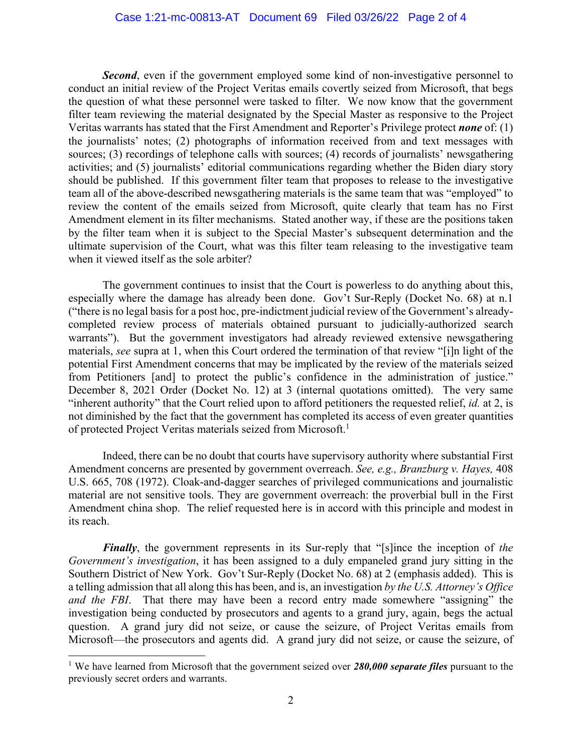**Second**, even if the government employed some kind of non-investigative personnel to conduct an initial review of the Project Veritas emails covertly seized from Microsoft, that begs the question of what these personnel were tasked to filter. We now know that the government filter team reviewing the material designated by the Special Master as responsive to the Project Veritas warrants has stated that the First Amendment and Reporter's Privilege protect *none* of: (1) the journalists' notes; (2) photographs of information received from and text messages with sources; (3) recordings of telephone calls with sources; (4) records of journalists' newsgathering activities; and (5) journalists' editorial communications regarding whether the Biden diary story should be published. If this government filter team that proposes to release to the investigative team all of the above-described newsgathering materials is the same team that was "employed" to review the content of the emails seized from Microsoft, quite clearly that team has no First Amendment element in its filter mechanisms. Stated another way, if these are the positions taken by the filter team when it is subject to the Special Master's subsequent determination and the ultimate supervision of the Court, what was this filter team releasing to the investigative team when it viewed itself as the sole arbiter?

 The government continues to insist that the Court is powerless to do anything about this, especially where the damage has already been done. Gov't Sur-Reply (Docket No. 68) at n.1 ("there is no legal basis for a post hoc, pre-indictment judicial review of the Government's alreadycompleted review process of materials obtained pursuant to judicially-authorized search warrants"). But the government investigators had already reviewed extensive newsgathering materials, *see* supra at 1, when this Court ordered the termination of that review "[i]n light of the potential First Amendment concerns that may be implicated by the review of the materials seized from Petitioners [and] to protect the public's confidence in the administration of justice." December 8, 2021 Order (Docket No. 12) at 3 (internal quotations omitted). The very same "inherent authority" that the Court relied upon to afford petitioners the requested relief, *id.* at 2, is not diminished by the fact that the government has completed its access of even greater quantities of protected Project Veritas materials seized from Microsoft.<sup>1</sup>

Indeed, there can be no doubt that courts have supervisory authority where substantial First Amendment concerns are presented by government overreach. *See, e.g., Branzburg v. Hayes,* 408 U.S. 665, 708 (1972). Cloak-and-dagger searches of privileged communications and journalistic material are not sensitive tools. They are government overreach: the proverbial bull in the First Amendment china shop. The relief requested here is in accord with this principle and modest in its reach.

*Finally*, the government represents in its Sur-reply that "[s]ince the inception of *the Government's investigation*, it has been assigned to a duly empaneled grand jury sitting in the Southern District of New York. Gov't Sur-Reply (Docket No. 68) at 2 (emphasis added). This is a telling admission that all along this has been, and is, an investigation *by the U.S. Attorney's Office and the FBI*. That there may have been a record entry made somewhere "assigning" the investigation being conducted by prosecutors and agents to a grand jury, again, begs the actual question. A grand jury did not seize, or cause the seizure, of Project Veritas emails from Microsoft—the prosecutors and agents did. A grand jury did not seize, or cause the seizure, of

l

<sup>&</sup>lt;sup>1</sup> We have learned from Microsoft that the government seized over 280,000 separate files pursuant to the previously secret orders and warrants.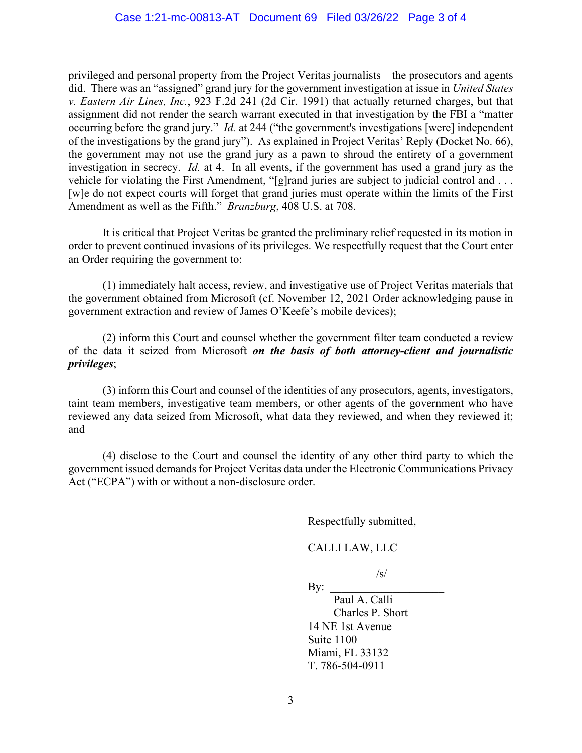privileged and personal property from the Project Veritas journalists—the prosecutors and agents did. There was an "assigned" grand jury for the government investigation at issue in *United States v. Eastern Air Lines, Inc.*, 923 F.2d 241 (2d Cir. 1991) that actually returned charges, but that assignment did not render the search warrant executed in that investigation by the FBI a "matter occurring before the grand jury." *Id.* at 244 ("the government's investigations [were] independent of the investigations by the grand jury"). As explained in Project Veritas' Reply (Docket No. 66), the government may not use the grand jury as a pawn to shroud the entirety of a government investigation in secrecy. *Id.* at 4. In all events, if the government has used a grand jury as the vehicle for violating the First Amendment, "[g]rand juries are subject to judicial control and . . . [w]e do not expect courts will forget that grand juries must operate within the limits of the First Amendment as well as the Fifth." *Branzburg*, 408 U.S. at 708.

 It is critical that Project Veritas be granted the preliminary relief requested in its motion in order to prevent continued invasions of its privileges. We respectfully request that the Court enter an Order requiring the government to:

(1) immediately halt access, review, and investigative use of Project Veritas materials that the government obtained from Microsoft (cf. November 12, 2021 Order acknowledging pause in government extraction and review of James O'Keefe's mobile devices);

 (2) inform this Court and counsel whether the government filter team conducted a review of the data it seized from Microsoft *on the basis of both attorney-client and journalistic privileges*;

(3) inform this Court and counsel of the identities of any prosecutors, agents, investigators, taint team members, investigative team members, or other agents of the government who have reviewed any data seized from Microsoft, what data they reviewed, and when they reviewed it; and

(4) disclose to the Court and counsel the identity of any other third party to which the government issued demands for Project Veritas data under the Electronic Communications Privacy Act ("ECPA") with or without a non-disclosure order.

Respectfully submitted,

## CALLI LAW, LLC

 $\sqrt{s}$ /

 $Bv:$ Paul A. Calli Charles P. Short 14 NE 1st Avenue Suite 1100 Miami, FL 33132 T. 786-504-0911